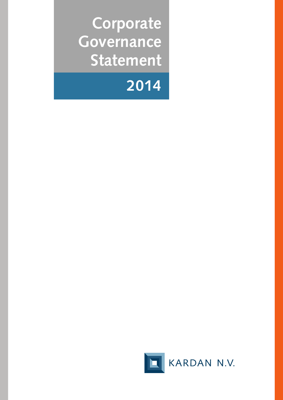**Corporate Governance Statement**



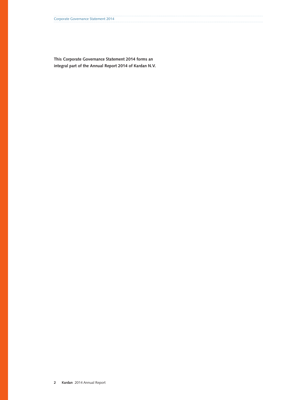**This Corporate Governance Statement 2014 forms an integral part of the Annual Report 2014 of Kardan N.V.**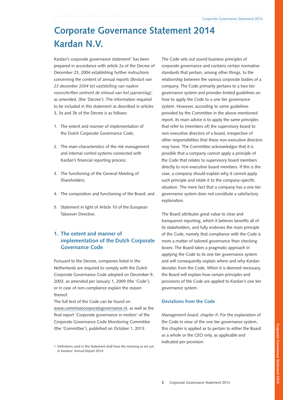# **Corporate Governance Statement 2014 Kardan N.V.**

Kardan's corporate governance statement<sup>1</sup> has been prepared in accordance with article 2a of the Decree of December 23, 2004 establishing further instructions concerning the content of annual reports *(Besluit van 23 december 2004 tot vaststelling van nadere voorschriften omtrent de inhoud van het jaarverslag)*, as amended, (the 'Decree'). The information required to be included in this statement as described in articles 3, 3a and 3b of the Decree is as follows:

- 1. The extent and manner of implementation of the Dutch Corporate Governance Code;
- 2. The main characteristics of the risk management and internal control systems connected with Kardan's financial reporting process;
- 3. The functioning of the General Meeting of Shareholders;
- 4. The composition and functioning of the Board; and
- 5. Statement in light of Article 10 of the European Takeover Directive.

# **1. The extent and manner of implementation of the Dutch Corporate Governance Code**

Pursuant to the Decree, companies listed in the Netherlands are required to comply with the Dutch Corporate Governance Code adopted on December 9, 2003, as amended per January 1, 2009 (the 'Code'), or in case of non-compliance explain the reason thereof.

The full text of the Code can be found on [www.commissiecorporategovernance.nl](http://www.commissiecorporategovernance.nl), as well as the final report 'Corporate governance in motion' of the Corporate Governance Code Monitoring Committee (the 'Committee'), published on October 1, 2013.

The Code sets out sound business principles of corporate governance and contains certain normative standards that pertain, among other things, to the relationship between the various corporate bodies of a company. The Code primarily pertains to a two tier governance system and provides limited guidelines on how to apply the Code to a one tier governance system. However, according to some guidelines provided by the Committee in the above-mentioned report, its main advice is to apply the same principles that refer to (members of) the supervisory board to non-executive directors of a board, irrespective of other responsibilities that these non-executive directors may have. The Committee acknowledges that it is possible that a company cannot apply a principle of the Code that relates to supervisory board members directly to non-executive board members. If this is the case, a company should explain why it cannot apply such principle and relate it to the company-specific situation. The mere fact that a company has a one tier governance system does not constitute a satisfactory explanation.

The Board attributes great value to clear and transparent reporting, which it believes benefits all of its stakeholders, and fully endorses the main principle of the Code, namely that compliance with the Code is more a matter of tailored governance than checking boxes. The Board takes a pragmatic approach in applying the Code to its one tier governance system and will consequently explain where and why Kardan deviates from the Code. When it is deemed necessary, the Board will explain how certain principles and provisions of the Code are applied to Kardan's one tier governance system.

#### **Deviations from the Code**

*Management board, chapter II:* For the explanation of the Code in view of the one tier governance system, this chapter is applied as to pertain to either the Board as a whole or the CEO only, as applicable and indicated per provision.

<sup>1</sup> Definitions used in this Statement shall have the meaning as set out in Kardans' Annual Report 2014.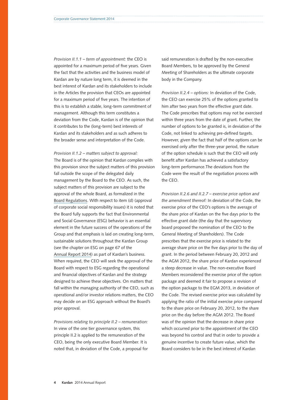*Provision II.1.1 – term of appointment:* the CEO is appointed for a maximum period of five years. Given the fact that the activities and the business model of Kardan are by nature long term, it is deemed in the best interest of Kardan and its stakeholders to include in the Articles the provision that CEOs are appointed for a maximum period of five years. The intention of this is to establish a stable, long-term commitment of management. Although this term constitutes a deviation from the Code, Kardan is of the opinion that it contributes to the (long-term) best interests of Kardan and its stakeholders and as such adheres to the broader sense and interpretation of the Code.

*Provision II.1.2 – matters subject to approval:* The Board is of the opinion that Kardan complies with this provision since the subject matters of this provision fall outside the scope of the delegated daily management by the Board to the CEO. As such, the subject matters of this provision are subject to the approval of the whole Board, as formalized in the [Board Regulations](http://phx.corporate-ir.net/External.File?item=UGFyZW50SUQ9MjAwNDI1fENoaWxkSUQ9LTF8VHlwZT0z&t=1). With respect to item (d) (approval of corporate social responsibility issues) it is noted that the Board fully supports the fact that Environmental and Social Governance (ESG) behavior is an essential element in the future success of the operations of the Group and that emphasis is laid on creating long-term, sustainable solutions throughout the Kardan Group (see the chapter on ESG on page 67 of the Annual [Report 2014\)](http://phx.corporate-ir.net/External.File?item=UGFyZW50SUQ9Mjc5MDUwfENoaWxkSUQ9LTF8VHlwZT0z&t=1) as part of Kardan's business. When required, the CEO will seek the approval of the Board with respect to ESG regarding the operational and financial objectives of Kardan and the strategy designed to achieve these objectives. On matters that fall within the managing authority of the CEO, such as operational and/or investor relations matters, the CEO may decide on an ESG approach without the Board's prior approval.

*Provisions relating to principle II.2 – remuneration:* In view of the one tier governance system, this principle II.2 is applied to the remuneration of the CEO, being the only executive Board Member. It is noted that, in deviation of the Code, a proposal for

said remuneration is drafted by the non-executive Board Members, to be approved by the General Meeting of Shareholders as the ultimate corporate body in the Company.

*Provision II.2.4 – options:* In deviation of the Code, the CEO can exercise 25% of the options granted to him after two years from the effective grant date. The Code prescribes that options may not be exercised within three years from the date of grant. Further, the number of options to be granted is, in deviation of the Code, not linked to achieving pre-defined targets. However, given the fact that half of the options can be exercised only after the three-year period, the nature of the option schedule is such that the CEO will only benefit after Kardan has achieved a satisfactory long-term performance.The deviations from the Code were the result of the negotiation process with the CEO.

*Provision II.2.6 and II.2.7 – exercise price option and the amendment thereof:* In deviation of the Code, the exercise price of the CEO's options is the average of the share price of Kardan on the five days prior to the effective grant date (the day that the supervisory board proposed the nomination of the CEO to the General Meeting of Shareholders). The Code prescribes that the exercise price is related to the average share price on the five days prior to the day of grant. In the period between February 20, 2012 and the AGM 2012, the share price of Kardan experienced a steep decrease in value. The non-executive Board Members reconsidered the exercise price of the option package and deemed it fair to propose a revision of the option package to the EGM 2013, in deviation of the Code. The revised exercise price was calculated by applying the ratio of the initial exercise price compared to the share price on February 20, 2012, to the share price on the day before the AGM 2012. The Board was of the opinion that the decrease in share price which occurred prior to the appointment of the CEO was beyond his control and that in order to provide a genuine incentive to create future value, which the Board considers to be in the best interest of Kardan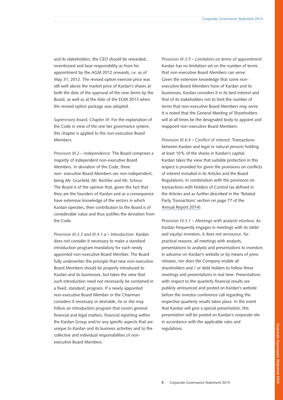and its stakeholders, the CEO should be rewarded, incentivized and bear responsibility as from his appointment by the AGM 2012 onwards, i.e. as of May 31, 2012. The revised option exercise price was still well above the market price of Kardan's shares at both the date of the approval of the new terms by the Board, as well as at the date of the EGM 2013 when the revised option package was adopted.

*Supervisory board, Chapter III:* For the explanation of the Code in view of the one tier governance system, this chapter is applied to the non-executive Board Members.

*Provision III.2 – Independence:* The Board comprises a majority of independent non-executive Board Members. In deviation of the Code, three non- executive Board Members are non-independent, being Mr. Grunfeld, Mr. Rechter and Mr. Schnur. The Board is of the opinion that, given the fact that they are the founders of Kardan and as a consequence have extensive knowledge of the sectors in which Kardan operates, their contribution to the Board is of considerable value and thus justifies the deviation from the Code.

*Provision III.3.3 and III.4.1.a – Introduction:* Kardan does not consider it necessary to make a standard introduction program mandatory for each newly appointed non-executive Board Member. The Board fully underwrites the principle that new non-executive Board Members should be properly introduced to Kardan and its businesses, but takes the view that such introduction need not necessarily be contained in a fixed, standard, program. If a newly appointed non-executive Board Member or the Chairman considers it necessary or desirable, he or she may follow an introduction program that covers general financial and legal matters, financial reporting within the Kardan Group and/or any specific aspects that are unique to Kardan and its business activities and to the collective and individual responsibilities of nonexecutive Board Members.

*Provision III.3.5 – Limitation on terms of appointment:* Kardan has no limitation set on the number of terms that non-executive Board Members can serve. Given the extensive knowledge that some nonexecutive Board Members have of Kardan and its businesses, Kardan considers it in its best interest and that of its stakeholders not to limit the number of terms that non-executive Board Members may serve. It is noted that the General Meeting of Shareholders will at all times be the designated body to appoint and reappoint non-executive Board Members.

*Provision III.6.4 – Conflict of interest:* Transactions between Kardan and legal or natural persons holding at least 10% of the shares in Kardan's capital: Kardan takes the view that suitable protection in this respect is provided for given the provisions on conflicts of interest included in its Articles and the Board Regulations, in combination with the provisions on transactions with Holders of Control (as defined in the Articles and as further described in the 'Related Party Transactions' section on page 77 of the Annual [Report 2014\)](http://phx.corporate-ir.net/External.File?item=UGFyZW50SUQ9Mjc5MDUwfENoaWxkSUQ9LTF8VHlwZT0z&t=1).

*Provision IV.3.1 – Meetings with analysts etcetera:* As Kardan frequently engages in meetings with its (debt and equity) investors, it does not announce, for practical reasons, all meetings with analysts, presentations to analysts and presentations to investors in advance on Kardan's website or by means of press releases, nor does the Company enable all shareholders and / or debt holders to follow these meetings and presentations in real time. Presentations with respect to the quarterly financial results are publicly announced and posted on Kardan's website before the investor conference call regarding the respective quarterly results takes place. In the event that Kardan will give a special presentation, this presentation will be posted on Kardan's corporate site in accordance with the applicable rules and regulations.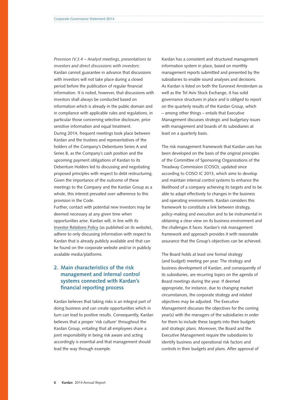*Provision IV.3.4 – Analyst meetings, presentations to investors and direct discussions with investors:* Kardan cannot guarantee in advance that discussions with investors will not take place during a closed period before the publication of regular financial information. It is noted, however, that discussions with investors shall always be conducted based on information which is already in the public domain and in compliance with applicable rules and regulations, in particular those concerning selective disclosure, price sensitive information and equal treatment. During 2014, frequent meetings took place between Kardan and the trustees and representatives of the holders of the Company's Debentures Series A and Series B, as the Company's cash position and the upcoming payment obligations of Kardan to its Debenture Holders led to discussing and negotiating proposed principles with respect to debt restructuring. Given the importance of the outcome of these meetings to the Company and the Kardan Group as a whole, this interest prevailed over adherence to this provision in the Code.

Further, contact with potential new investors may be deemed necessary at any given time when opportunities arise. Kardan will, in line with its Investor [Relations Policy](http://phx.corporate-ir.net/External.File?item=UGFyZW50SUQ9NDE0NjI5fENoaWxkSUQ9Mjc4Mjg5fFR5cGU9MQ==&t=1) (as published on its website), adhere to only discussing information with respect to Kardan that is already publicly available and that can be found on the corporate website and/or in publicly available media/platforms.

# **2. Main characteristics of the risk management and internal control systems connected with Kardan's financial reporting process**

Kardan believes that taking risks is an integral part of doing business and can create opportunities which in turn can lead to positive results. Consequently, Kardan believes that a proper 'risk culture' throughout the Kardan Group, entailing that all employees share a joint responsibility in being risk aware and acting accordingly is essential and that management should lead the way through example.

Kardan has a consistent and structured management information system in place, based on monthly management reports submitted and presented by the subsidiaries to enable sound analyses and decisions. As Kardan is listed on both the Euronext Amsterdam as well as the Tel Aviv Stock Exchange, it has solid governance structures in place and is obliged to report on the quarterly results of the Kardan Group, which – among other things – entails that Executive Management discusses strategic and budgetary issues with management and boards of its subsidiaries at least on a quarterly basis.

The risk management framework that Kardan uses has been developed on the basis of the original principles of the Committee of Sponsoring Organizations of the Treadway Commission (COSO), updated since according to COSO IC 2013, which aims to develop and maintain internal control systems to enhance the likelihood of a company achieving its targets and to be able to adapt effectively to changes in the business and operating environments. Kardan considers this framework to constitute a link between strategy, policy-making and execution and to be instrumental in obtaining a clear view on its business environment and the challenges it faces. Kardan's risk management framework and approach provides it with reasonable assurance that the Group's objectives can be achieved.

The Board holds at least one formal strategy (and budget) meeting per year. The strategy and business development of Kardan, and consequently of its subsidiaries, are recurring topics on the agenda of Board meetings during the year. If deemed appropriate, for instance, due to changing market circumstances, the corporate strategy and related objectives may be adjusted. The Executive Management discusses the objectives for the coming year(s) with the managers of the subsidiaries in order for them to include these targets into their budgets and strategic plans. Moreover, the Board and the Executive Management require the subsidiaries to identify business and operational risk factors and controls in their budgets and plans. After approval of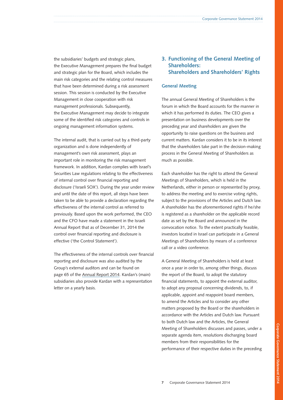the subsidiaries' budgets and strategic plans, the Executive Management prepares the final budget and strategic plan for the Board, which includes the main risk categories and the relating control measures that have been determined during a risk assessment session. This session is conducted by the Executive Management in close cooperation with risk management professionals. Subsequently, the Executive Management may decide to integrate some of the identified risk categories and controls in ongoing management information systems.

The internal audit, that is carried out by a third-party organization and is done independently of management's own risk assessment, plays an important role in monitoring the risk management framework. In addition, Kardan complies with Israel's Securities Law regulations relating to the effectiveness of internal control over financial reporting and disclosure ('Israeli SOX'). During the year under review and until the date of this report, all steps have been taken to be able to provide a declaration regarding the effectiveness of the internal control as referred to previously. Based upon the work performed, the CEO and the CFO have made a statement in the Israeli Annual Report that as of December 31, 2014 the control over financial reporting and disclosure is effective ('the Control Statement').

The effectiveness of the internal controls over financial reporting and disclosure was also audited by the Group's external auditors and can be found on page 65 of the [Annual Report 2014](http://phx.corporate-ir.net/External.File?item=UGFyZW50SUQ9Mjc5MDUwfENoaWxkSUQ9LTF8VHlwZT0z&t=1). Kardan's (main) subsidiaries also provide Kardan with a representation letter on a yearly basis.

# **3. Functioning of the General Meeting of Shareholders: Shareholders and Shareholders' Rights**

#### **General Meeting**

The annual General Meeting of Shareholders is the forum in which the Board accounts for the manner in which it has performed its duties. The CEO gives a presentation on business developments over the preceding year and shareholders are given the opportunity to raise questions on the business and current matters. Kardan considers it to be in its interest that the shareholders take part in the decision-making process in the General Meeting of Shareholders as much as possible.

Each shareholder has the right to attend the General Meetings of Shareholders, which is held in the Netherlands, either in person or represented by proxy, to address the meeting and to exercise voting rights, subject to the provisions of the Articles and Dutch law. A shareholder has the aforementioned rights if he/she is registered as a shareholder on the applicable record date as set by the Board and announced in the convocation notice. To the extent practically feasible, investors located in Israel can participate in a General Meetings of Shareholders by means of a conference call or a video conference.

A General Meeting of Shareholders is held at least once a year in order to, among other things, discuss the report of the Board, to adopt the statutory financial statements, to appoint the external auditor, to adopt any proposal concerning dividends, to, if applicable, appoint and reappoint board members, to amend the Articles and to consider any other matters proposed by the Board or the shareholders in accordance with the Articles and Dutch law. Pursuant to both Dutch law and the Articles, the General Meeting of Shareholders discusses and passes, under a separate agenda item, resolutions discharging board members from their responsibilities for the performance of their respective duties in the preceding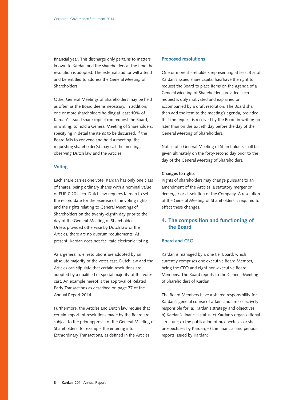financial year. This discharge only pertains to matters known to Kardan and the shareholders at the time the resolution is adopted. The external auditor will attend and be entitled to address the General Meeting of Shareholders.

Other General Meetings of Shareholders may be held as often as the Board deems necessary. In addition, one or more shareholders holding at least 10% of Kardan's issued share capital can request the Board, in writing, to hold a General Meeting of Shareholders, specifying in detail the items to be discussed. If the Board fails to convene and hold a meeting, the requesting shareholder(s) may call the meeting, observing Dutch law and the Articles.

#### **Voting**

Each share carries one vote. Kardan has only one class of shares, being ordinary shares with a nominal value of EUR 0.20 each. Dutch law requires Kardan to set the record date for the exercise of the voting rights and the rights relating to General Meetings of Shareholders on the twenty-eighth day prior to the day of the General Meeting of Shareholders. Unless provided otherwise by Dutch law or the Articles, there are no quorum requirements. At present, Kardan does not facilitate electronic voting.

As a general rule, resolutions are adopted by an absolute majority of the votes cast. Dutch law and the Articles can stipulate that certain resolutions are adopted by a qualified or special majority of the votes cast. An example hereof is the approval of Related Party Transactions as described on page 77 of the [Annual Report 2014.](http://phx.corporate-ir.net/External.File?item=UGFyZW50SUQ9Mjc5MDUwfENoaWxkSUQ9LTF8VHlwZT0z&t=1)

Furthermore, the Articles and Dutch law require that certain important resolutions made by the Board are subject to the prior approval of the General Meeting of Shareholders, for example the entering into Extraordinary Transactions, as defined in the Articles.

#### **Proposed resolutions**

One or more shareholders representing at least 3% of Kardan's issued share capital has/have the right to request the Board to place items on the agenda of a General Meeting of Shareholders provided such request is duly motivated and explained or accompanied by a draft resolution. The Board shall then add the item to the meeting's agenda, provided that the request is received by the Board in writing no later than on the sixtieth day before the day of the General Meeting of Shareholders.

Notice of a General Meeting of Shareholders shall be given ultimately on the forty-second day prior to the day of the General Meeting of Shareholders.

#### **Changes to rights**

Rights of shareholders may change pursuant to an amendment of the Articles, a statutory merger or demerger or dissolution of the Company. A resolution of the General Meeting of Shareholders is required to effect these changes.

# **4. The composition and functioning of the Board**

## **Board and CEO**

Kardan is managed by a one tier Board, which currently comprises one executive Board Member, being the CEO and eight non-executive Board Members. The Board reports to the General Meeting of Shareholders of Kardan.

The Board Members have a shared responsibility for Kardan's general course of affairs and are collectively responsible for: a) Kardan's strategy and objectives; b) Kardan's financial status; c) Kardan's organizational structure; d) the publication of prospectuses or shelf prospectuses by Kardan; e) the financial and periodic reports issued by Kardan;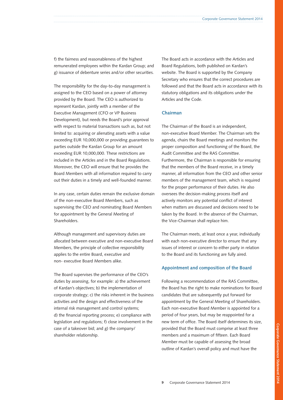f) the fairness and reasonableness of the highest remunerated employees within the Kardan Group; and g) issuance of debenture series and/or other securities.

The responsibility for the day-to-day management is assigned to the CEO based on a power of attorney provided by the Board. The CEO is authorized to represent Kardan, jointly with a member of the Executive Management (CFO or VP Business Development), but needs the Board's prior approval with respect to material transactions such as, but not limited to: acquiring or alienating assets with a value exceeding EUR 10,000,000 or providing guarantees to parties outside the Kardan Group for an amount exceeding EUR 10,000,000. These restrictions are included in the Articles and in the Board Regulations. Moreover, the CEO will ensure that he provides the Board Members with all information required to carry out their duties in a timely and well-founded manner.

In any case, certain duties remain the exclusive domain of the non-executive Board Members, such as supervising the CEO and nominating Board Members for appointment by the General Meeting of Shareholders.

Although management and supervisory duties are allocated between executive and non-executive Board Members, the principle of collective responsibility applies to the entire Board, executive and non- executive Board Members alike.

The Board supervises the performance of the CEO's duties by assessing, for example: a) the achievement of Kardan's objectives; b) the implementation of corporate strategy; c) the risks inherent in the business activities and the design and effectiveness of the internal risk management and control systems; d) the financial reporting process; e) compliance with legislation and regulations; f) close involvement in the case of a takeover bid; and g) the company/ shareholder relationship.

The Board acts in accordance with the Articles and Board Regulations, both published on Kardan's website. The Board is supported by the Company Secretary who ensures that the correct procedures are followed and that the Board acts in accordance with its statutory obligations and its obligations under the Articles and the Code.

## **Chairman**

The Chairman of the Board is an independent, non-executive Board Member. The Chairman sets the agenda, chairs the Board meetings and monitors the proper composition and functioning of the Board, the Audit Committee and the RAS Committee. Furthermore, the Chairman is responsible for ensuring that the members of the Board receive, in a timely manner, all information from the CEO and other senior members of the management team, which is required for the proper performance of their duties. He also oversees the decision-making process itself and actively monitors any potential conflict of interest when matters are discussed and decisions need to be taken by the Board. In the absence of the Chairman, the Vice-Chairman shall replace him.

The Chairman meets, at least once a year, individually with each non-executive director to ensure that any issues of interest or concern to either party in relation to the Board and its functioning are fully aired.

#### **Appointment and composition of the Board**

Following a recommendation of the RAS Committee, the Board has the right to make nominations for Board candidates that are subsequently put forward for appointment by the General Meeting of Shareholders. Each non-executive Board Member is appointed for a period of four years, but may be reappointed for a new term of office. The Board itself determines its size, provided that the Board must comprise at least three members and a maximum of fifteen. Each Board Member must be capable of assessing the broad outline of Kardan's overall policy and must have the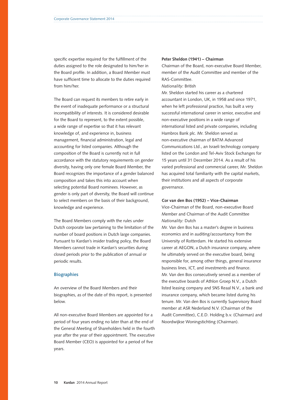specific expertise required for the fulfillment of the duties assigned to the role designated to him/her in the Board profile. In addition, a Board Member must have sufficient time to allocate to the duties required from him/her.

The Board can request its members to retire early in the event of inadequate performance or a structural incompatibility of interests. It is considered desirable for the Board to represent, to the extent possible, a wide range of expertise so that it has relevant knowledge of, and experience in, business management, financial administration, legal and accounting for listed companies. Although the composition of the Board is currently not in full accordance with the statutory requirements on gender diversity, having only one female Board Member, the Board recognizes the importance of a gender balanced composition and takes this into account when selecting potential Board nominees. However, as gender is only part of diversity, the Board will continue to select members on the basis of their background, knowledge and experience.

The Board Members comply with the rules under Dutch corporate law pertaining to the limitation of the number of board positions in Dutch large companies. Pursuant to Kardan's insider trading policy, the Board Members cannot trade in Kardan's securities during closed periods prior to the publication of annual or periodic results.

#### **Biographies**

An overview of the Board Members and their biographies, as of the date of this report, is presented below.

All non-executive Board Members are appointed for a period of four years ending no later than at the end of the General Meeting of Shareholders held in the fourth year after the year of their appointment. The executive Board Member (CEO) is appointed for a period of five years.

#### **Peter Sheldon (1941) – Chairman**

Chairman of the Board, non-executive Board Member, member of the Audit Committee and member of the RAS-Committee.

#### *Nationality:* British

Mr. Sheldon started his career as a chartered accountant in London, UK, in 1958 and since 1971, when he left professional practice, has built a very successful international career in senior, executive and non-executive positions in a wide range of international listed and private companies, including Hambros Bank plc. Mr. Sheldon served as non-executive chairman of BATM Advanced Communications Ltd., an Israeli technology company listed on the London and Tel-Aviv Stock Exchanges for 15 years until 31 December 2014. As a result of his varied professional and commercial career, Mr. Sheldon has acquired total familiarity with the capital markets, their institutions and all aspects of corporate governance.

#### **Cor van den Bos (1952) – Vice-Chairman**

Vice-Chairman of the Board, non-executive Board Member and Chairman of the Audit Committee *Nationality:* Dutch

Mr. Van den Bos has a master's degree in business economics and in auditing/accountancy from the University of Rotterdam. He started his extensive career at AEGON, a Dutch insurance company, where he ultimately served on the executive board, being responsible for, among other things, general insurance business lines, ICT, and investments and finance. Mr. Van den Bos consecutively served as a member of the executive boards of Athlon Groep N.V., a Dutch listed leasing company and SNS Reaal N.V., a bank and insurance company, which became listed during his tenure. Mr. Van den Bos is currently Supervisory Board member at ASR Nederland N.V. (Chairman of the Audit Committee), C.E.D. Holding b.v. (Chairman) and Noordwijkse Woningstichting (Chairman).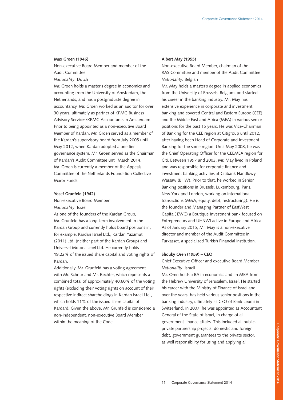#### **Max Groen (1946)**

Non-executive Board Member and member of the Audit Committee

*Nationality:* Dutch

Mr. Groen holds a master's degree in economics and accounting from the University of Amsterdam, the Netherlands, and has a postgraduate degree in accountancy. Mr. Groen worked as an auditor for over 30 years, ultimately as partner of KPMG Business Advisory Services/KPMG Accountants in Amsterdam. Prior to being appointed as a non-executive Board Member of Kardan, Mr. Groen served as a member of the Kardan's supervisory board from July 2005 until May 2012, when Kardan adopted a one tier governance system. Mr. Groen served as the Chairman of Kardan's Audit Committee until March 2014. Mr. Groen is currently a member of the Appeals Committee of the Netherlands Foundation Collective Maror Funds.

#### **Yosef Grunfeld (1942)**

Non-executive Board Member *Nationality:* Israeli

As one of the founders of the Kardan Group, Mr. Grunfeld has a long-term involvement in the Kardan Group and currently holds board positions in, for example, Kardan Israel Ltd., Kardan Yazamut (2011) Ltd. (neither part of the Kardan Group) and Universal Motors Israel Ltd. He currently holds 19.22% of the issued share capital and voting rights of Kardan.

Additionally, Mr. Grunfeld has a voting agreement with Mr. Schnur and Mr. Rechter, which represents a combined total of approximately 40.60% of the voting rights (excluding their voting rights on account of their respective indirect shareholdings in Kardan Israel Ltd., which holds 11% of the issued share capital of Kardan). Given the above, Mr. Grunfeld is considered a non-independent, non-executive Board Member within the meaning of the Code.

#### **Albert May (1955)**

Non-executive Board Member, chairman of the RAS Committee and member of the Audit Committee *Nationality:* Belgian

Mr. May holds a master's degree in applied economics from the University of Brussels, Belgium, and started his career in the banking industry. Mr. May has extensive experience in corporate and investment banking and covered Central and Eastern Europe (CEE) and the Middle East and Africa (MEA) in various senior positions for the past 15 years. He was Vice-Chairman of Banking for the CEE region at Citigroup until 2012, after having been Head of Corporate and Investment Banking for the same region. Until May 2008, he was the Chief Operating Officer for the CEEMEA region for Citi. Between 1997 and 2003, Mr. May lived in Poland and was responsible for corporate finance and investment banking activities at Citibank Handlowy Warsaw (BHW). Prior to that, he worked in Senior Banking positions in Brussels, Luxembourg, Paris, New York and London, working on international transactions (M&A, equity, debt, restructuring). He is the founder and Managing Partner of EastWest Capital( EWC) a Boutique Investment bank focused on Entrepreneurs and UHNWI active in Europe and Africa. As of January 2015, Mr. May is a non-executive director and member of the Audit Committee in Turkasset, a specialized Turkish Financial institution.

#### **Shouky Oren (1959) – CEO**

Chief Executive Officer and executive Board Member *Nationality:* Israeli

Mr. Oren holds a BA in economics and an MBA from the Hebrew University of Jerusalem, Israel. He started his career with the Ministry of Finance of Israel and over the years, has held various senior positions in the banking industry, ultimately as CEO of Bank Leumi in Switzerland. In 2007, he was appointed as Accountant General of the State of Israel, in charge of all government finance affairs. This included all publicprivate partnership projects, domestic and foreign debt, government guarantees to the private sector, as well responsibility for using and applying all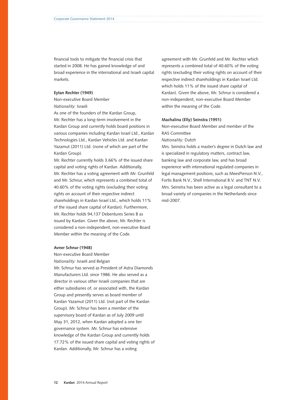financial tools to mitigate the financial crisis that started in 2008. He has gained knowledge of and broad experience in the international and Israeli capital markets.

#### **Eytan Rechter (1949)**

Non-executive Board Member

*Nationality:* Israeli

As one of the founders of the Kardan Group, Mr. Rechter has a long-term involvement in the Kardan Group and currently holds board positions in various companies including Kardan Israel Ltd., Kardan Technologies Ltd., Kardan Vehicles Ltd. and Kardan Yazamut (2011) Ltd. (none of which are part of the Kardan Group).

Mr. Rechter currently holds 3.66% of the issued share capital and voting rights of Kardan. Additionally, Mr. Rechter has a voting agreement with Mr. Grunfeld and Mr. Schnur, which represents a combined total of 40.60% of the voting rights (excluding their voting rights on account of their respective indirect shareholdings in Kardan Israel Ltd., which holds 11% of the issued share capital of Kardan). Furthermore, Mr. Rechter holds 94,137 Debentures Series B as issued by Kardan. Given the above, Mr. Rechter is considered a non-independent, non-executive Board Member within the meaning of the Code.

#### **Avner Schnur (1948)**

Non-executive Board Member *Nationality:* Israeli and Belgian Mr. Schnur has served as President of Astra Diamonds Manufacturers Ltd. since 1986. He also served as a director in various other Israeli companies that are either subsidiaries of, or associated with, the Kardan Group and presently serves as board member of Kardan Yazamut (2011) Ltd. (not part of the Kardan Group). Mr. Schnur has been a member of the supervisory board of Kardan as of July 2009 until May 31, 2012, when Kardan adopted a one tier governance system. Mr. Schnur has extensive knowledge of the Kardan Group and currently holds 17.72% of the issued share capital and voting rights of Kardan. Additionally, Mr. Schnur has a voting

agreement with Mr. Grunfeld and Mr. Rechter which represents a combined total of 40.60% of the voting rights (excluding their voting rights on account of their respective indirect shareholdings in Kardan Israel Ltd. which holds 11% of the issued share capital of Kardan). Given the above, Mr. Schnur is considered a non-independent, non-executive Board Member within the meaning of the Code.

#### **Machalina (Elly) Seinstra (1951)**

Non-executive Board Member and member of the RAS Committee

*Nationality:* Dutch

Mrs. Seinstra holds a master's degree in Dutch law and is specialized in regulatory matters, contract law, banking law and corporate law, and has broad experience with international regulated companies in legal management positions, such as MeesPierson N.V., Fortis Bank N.V., Shell International B.V. and TNT N.V. Mrs. Seinstra has been active as a legal consultant to a broad variety of companies in the Netherlands since mid-2007.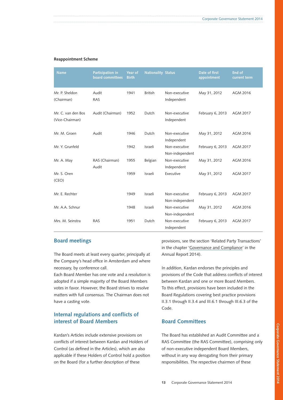#### **Reappointment Scheme**

| <b>Name</b>                           | Participation in<br>board committees | Year of<br><b>Birth</b> | <b>Nationality Status</b> |                                  | Date of first<br>appointment | <b>End of</b><br>current term |
|---------------------------------------|--------------------------------------|-------------------------|---------------------------|----------------------------------|------------------------------|-------------------------------|
| Mr. P. Sheldon<br>(Chairman)          | Audit<br><b>RAS</b>                  | 1941                    | <b>British</b>            | Non-executive<br>Independent     | May 31, 2012                 | AGM 2016                      |
| Mr. C. van den Bos<br>(Vice-Chairman) | Audit (Chairman)                     | 1952                    | Dutch                     | Non-executive<br>Independent     | February 6, 2013             | AGM 2017                      |
| Mr. M. Groen                          | Audit                                | 1946                    | Dutch                     | Non-executive<br>Independent     | May 31, 2012                 | AGM 2016                      |
| Mr. Y. Grunfeld                       |                                      | 1942                    | Israeli                   | Non-executive<br>Non-independent | February 6, 2013             | <b>AGM 2017</b>               |
| Mr. A. May                            | RAS (Chairman)<br>Audit              | 1955                    | Belgian                   | Non-executive<br>Independent     | May 31, 2012                 | AGM 2016                      |
| Mr. S. Oren<br>(CEO)                  |                                      | 1959                    | Israeli                   | Executive                        | May 31, 2012                 | <b>AGM 2017</b>               |
| Mr. E. Rechter                        |                                      | 1949                    | Israeli                   | Non-executive<br>Non-independent | February 6, 2013             | AGM 2017                      |
| Mr. A.A. Schnur                       |                                      | 1948                    | Israeli                   | Non-executive<br>Non-independent | May 31, 2012                 | AGM 2016                      |
| Mrs. M. Seinstra                      | <b>RAS</b>                           | 1951                    | Dutch                     | Non-executive<br>Independent     | February 6, 2013             | <b>AGM 2017</b>               |

## **Board meetings**

The Board meets at least every quarter, principally at the Company's head office in Amsterdam and where necessary, by conference call.

Each Board Member has one vote and a resolution is adopted if a simple majority of the Board Members votes in favor. However, the Board strives to resolve matters with full consensus. The Chairman does not have a casting vote.

# **Internal regulations and conflicts of interest of Board Members**

Kardan's Articles include extensive provisions on conflicts of interest between Kardan and Holders of Control (as defined in the Articles), which are also applicable if these Holders of Control hold a position on the Board (for a further description of these

provisions, see the section 'Related Party Transactions' in the chapter '[Governance and Compliance](http://phx.corporate-ir.net/External.File?item=UGFyZW50SUQ9Mjc5MDUwfENoaWxkSUQ9LTF8VHlwZT0z&t=1)' in the Annual Report 2014).

In addition, Kardan endorses the principles and provisions of the Code that address conflicts of interest between Kardan and one or more Board Members. To this effect, provisions have been included in the Board Regulations covering best practice provisions II.3.1 through II.3.4 and III.6.1 through III.6.3 of the Code.

## **Board Committees**

The Board has established an Audit Committee and a RAS Committee (the RAS Committee), comprising only of non-executive independent Board Members, without in any way derogating from their primary responsibilities. The respective chairmen of these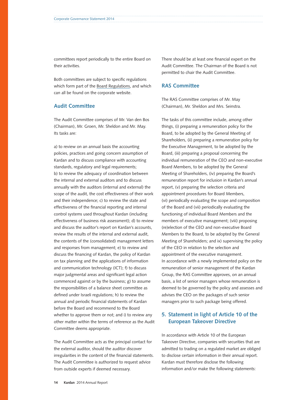committees report periodically to the entire Board on their activities.

Both committees are subject to specific regulations which form part of the [Board Regulations](http://phx.corporate-ir.net/External.File?item=UGFyZW50SUQ9MjAwNDI1fENoaWxkSUQ9LTF8VHlwZT0z&t=1), and which can all be found on the corporate website.

## **Audit Committee**

The Audit Committee comprises of Mr. Van den Bos (Chairman), Mr. Groen, Mr. Sheldon and Mr. May. Its tasks are:

a) to review on an annual basis the accounting policies, practices and going concern assumption of Kardan and to discuss compliance with accounting standards, regulatory and legal requirements; b) to review the adequacy of coordination between the internal and external auditors and to discuss annually with the auditors (internal and external) the scope of the audit, the cost effectiveness of their work and their independence; c) to review the state and effectiveness of the financial reporting and internal control systems used throughout Kardan (including effectiveness of business risk assessment); d) to review and discuss the auditor's report on Kardan's accounts, review the results of the internal and external audit, the contents of the (consolidated) management letters and responses from management; e) to review and discuss the financing of Kardan, the policy of Kardan on tax planning and the applications of information and communication technology (ICT); f) to discuss major judgmental areas and significant legal action commenced against or by the business; g) to assume the responsibilities of a balance sheet committee as defined under Israeli regulations; h) to review the annual and periodic financial statements of Kardan before the Board and recommend to the Board whether to approve them or not; and i) to review any other matter within the terms of reference as the Audit Committee deems appropriate.

The Audit Committee acts as the principal contact for the external auditor, should the auditor discover irregularities in the content of the financial statements. The Audit Committee is authorized to request advice from outside experts if deemed necessary.

There should be at least one financial expert on the Audit Committee. The Chairman of the Board is not permitted to chair the Audit Committee.

## **RAS Committee**

The RAS Committee comprises of Mr. May (Chairman), Mr. Sheldon and Mrs. Seinstra.

The tasks of this committee include, among other things, (i) preparing a remuneration policy for the Board, to be adopted by the General Meeting of Shareholders, (ii) preparing a remuneration policy for the Executive Management, to be adopted by the Board, (iii) preparing a proposal concerning the individual remuneration of the CEO and non-executive Board Members, to be adopted by the General Meeting of Shareholders, (iv) preparing the Board's remuneration report for inclusion in Kardan's annual report, (v) preparing the selection criteria and appointment procedures for Board Members, (vi) periodically evaluating the scope and composition of the Board and (vii) periodically evaluating the functioning of individual Board Members and the members of executive management; (viii) proposing (re)election of the CEO and non-executive Board Members to the Board, to be adopted by the General Meeting of Shareholders; and ix) supervising the policy of the CEO in relation to the selection and appointment of the executive management. In accordance with a newly implemented policy on the remuneration of senior management of the Kardan Group, the RAS Committee approves, on an annual basis, a list of senior managers whose remuneration is deemed to be governed by the policy and assesses and advises the CEO on the packages of such senior managers prior to such package being offered.

## **5. Statement in light of Article 10 of the European Takeover Directive**

In accordance with Article 10 of the European Takeover Directive, companies with securities that are admitted to trading on a regulated market are obliged to disclose certain information in their annual report. Kardan must therefore disclose the following information and/or make the following statements: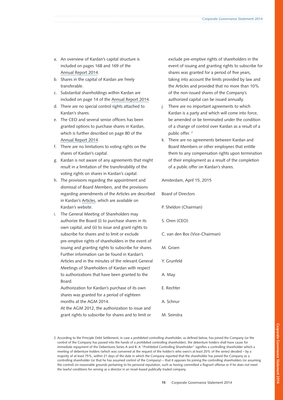- a. An overview of Kardan's capital structure is included on pages 168 and 169 of the [Annual Report 2014](http://phx.corporate-ir.net/External.File?item=UGFyZW50SUQ9Mjc5MDUwfENoaWxkSUQ9LTF8VHlwZT0z&t=1).
- b. Shares in the capital of Kardan are freely transferable.
- c. Substantial shareholdings within Kardan are included on page 14 of the [Annual Report 2014](http://phx.corporate-ir.net/External.File?item=UGFyZW50SUQ9Mjc5MDUwfENoaWxkSUQ9LTF8VHlwZT0z&t=1).
- d. There are no special control rights attached to Kardan's shares.
- e. The CEO and several senior officers has been granted options to purchase shares in Kardan, which is further described on page 80 of the [Annual Report 2014](http://phx.corporate-ir.net/External.File?item=UGFyZW50SUQ9Mjc5MDUwfENoaWxkSUQ9LTF8VHlwZT0z&t=1).
- f. There are no limitations to voting rights on the shares of Kardan's capital.
- g. Kardan is not aware of any agreements that might result in a limitation of the transferability of the voting rights on shares in Kardan's capital.
- h. The provisions regarding the appointment and dismissal of Board Members, and the provisions regarding amendments of the Articles are described in Kardan's [Articles](http://phx.corporate-ir.net/External.File?item=UGFyZW50SUQ9Mjc5MDUzfENoaWxkSUQ9LTF8VHlwZT0z&t=1), which are available on Kardan's website.
- i. The General Meeting of Shareholders may authorize the Board (i) to purchase shares in its own capital, and (ii) to issue and grant rights to subscribe for shares and to limit or exclude pre-emptive rights of shareholders in the event of issuing and granting rights to subscribe for shares. Further information can be found in Kardan's Articles and in the minutes of the relevant General Meetings of Shareholders of Kardan with respect to authorizations that have been granted to the Board. Authorization for Kardan's purchase of its own

shares was granted for a period of eighteen months at the AGM 2014.

At the AGM 2012, the authorization to issue and grant rights to subscribe for shares and to limit or exclude pre-emptive rights of shareholders in the event of issuing and granting rights to subscribe for shares was granted for a period of five years, taking into account the limits provided by law and the Articles and provided that no more than 10% of the non-issued shares of the Company's authorized capital can be issued annually.

- j. There are no important agreements to which Kardan is a party and which will come into force, be amended or be terminated under the condition of a change of control over Kardan as a result of a public offer.<sup>2</sup>
- k. There are no agreements between Kardan and Board Members or other employees that entitle them to any compensation rights upon termination of their employment as a result of the completion of a public offer on Kardan's shares.

Amsterdam, April 15, 2015

Board of Directors

P. Sheldon (Chairman)

- S. Oren (CEO)
- C. van den Bos (Vice-Chairman)
- M. Groen
- Y. Grunfeld
- A. May
- E. Rechter
- A. Schnur
- M. Seinstra

2 According to the Principle Debt Settlement, in case a prohibited controlling shareholder, as defined below, has joined the Company (or the control of the Company has passed into the hands of a prohibited controlling shareholder), the debenture holders shall have cause for immediate repayment of the Debentures Series A and B. A "Prohibited Controlling Shareholder" signifies a controlling shareholder which a meeting of debenture holders (which was convened at the request of the holder/s who own/s at least 20% of the series) decided – by a majority of at least 75%, within 21 days of the date in which the Company reported that the shareholder has joined the Company as a controlling shareholder (or that he has assumed control of the Company) – that it opposes his joining the controlling shareholders (or assuming the control) on reasonable grounds pertaining to his personal reputation, such as having committed a flagrant offense or if he does not meet the lawful conditions for serving as a director in an Israel-based publically traded company.